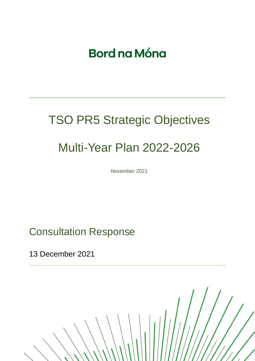# **Bord na Móna**

# TSO PR5 Strategic Objectives Multi-Year Plan 2022-2026

November 2021

Consultation Response

13 December 2021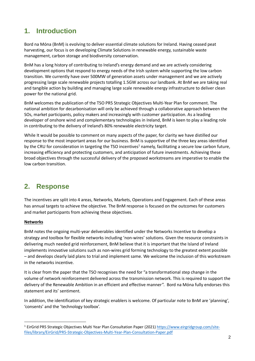## **1. Introduction**

Bord na Móna (BnM) is evolving to deliver essential climate solutions for Ireland. Having ceased peat harvesting, our focus is on developing Climate Solutions in renewable energy, sustainable waste management, carbon storage and biodiversity conservation.

BnM has a long history of contributing to Ireland's energy demand and we are actively considering development options that respond to energy needs of the Irish system while supporting the low carbon transition. We currently have over 500MW of generation assets under management and we are actively progressing large scale renewable projects totalling 1.5GW across our landbank. At BnM we are taking real and tangible action by building and managing large scale renewable energy infrastructure to deliver clean power for the national grid.

BnM welcomes the publication of the TSO PR5 Strategic Objectives Multi-Year Plan for comment. The national ambition for decarbonisation will only be achieved through a collaborative approach between the SOs, market participants, policy makers and increasingly with customer participation. As a leading developer of onshore wind and complementary technologies in Ireland, BnM is keen to play a leading role in contributing to the delivery of Ireland's 80% renewable electricity target.

While It would be possible to comment on many aspects of the paper, for clarity we have distilled our response to the most important areas for our business. BnM is supportive of the three key areas identified by the CRU for consideration in targeting the TSO incentives<sup>1</sup> namely, facilitating a secure low carbon future, increasing efficiency and protecting customers, and anticipation of future investments. Achieving these broad objectives through the successful delivery of the proposed workstreams are imperative to enable the low carbon transition.

### **2. Response**

The incentives are split into 4 areas, Networks, Markets, Operations and Engagement. Each of these areas has annual targets to achieve the objective. The BnM response is focused on the outcomes for customers and market participants from achieving these objectives.

#### **Networks**

BnM notes the ongoing multi-year deliverables identified under the Networks Incentive to develop a strategy and toolbox for flexible networks including 'non-wires' solutions. Given the resource constraints in delivering much needed grid reinforcement, BnM believe that it is important that the Island of Ireland implements innovative solutions such as non-wires grid forming technology to the greatest extent possible – and develops clearly laid plans to trial and implement same. We welcome the inclusion of this workstream in the networks incentive.

It is clear from the paper that the TSO recognises the need for "a transformational step change in the volume of network reinforcement delivered across the transmission network. This is required to support the delivery of the Renewable Ambition in an efficient and effective manner". Bord na Móna fully endorses this statement and its' sentiment.

In addition, the identification of key strategic enablers is welcome. Of particular note to BnM are 'planning', 'consents' and the 'technology toolbox'.

<sup>1</sup> EirGrid PR5 Strategic Objectives Multi Year Plan Consultation Paper (2021) [https://www.eirgridgroup.com/site](https://www.eirgridgroup.com/site-files/library/EirGrid/PR5-Strategic-Objectives-Multi-Year-Plan-Consultation-Paper.pdf)[files/library/EirGrid/PR5-Strategic-Objectives-Multi-Year-Plan-Consultation-Paper.pdf](https://www.eirgridgroup.com/site-files/library/EirGrid/PR5-Strategic-Objectives-Multi-Year-Plan-Consultation-Paper.pdf)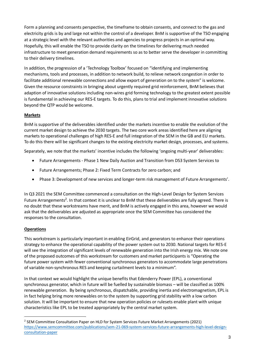Form a planning and consents perspective, the timeframe to obtain consents, and connect to the gas and electricity grids is by and large not within the control of a developer. BnM is supportive of the TSO engaging at a strategic level with the relevant authorities and agencies to progress projects in an optimal way. Hopefully, this will enable the TSO to provide clarity on the timelines for delivering much needed infrastructure to meet generation demand requirements so as to better serve the developer in committing to their delivery timelines.

In addition, the progression of a 'Technology Toolbox' focused on "identifying and implementing mechanisms, tools and processes, in addition to network build, to relieve network congestion in order to facilitate additional renewable connections and allow export of generation on to the system" is welcome. Given the resource constraints in bringing about urgently required grid reinforcement, BnM believes that adaption of innovative solutions including non-wires grid forming technology to the greatest extent possible is fundamental in achieving our RES-E targets. To do this, plans to trial and implement innovative solutions beyond the QTP would be welcome.

#### **Markets**

BnM is supportive of the deliverables identified under the markets incentive to enable the evolution of the current market design to achieve the 2030 targets. The two core work areas identified here are aligning markets to operational challenges of high RES-E and full integration of the SEM in the GB and EU markets. To do this there will be significant changes to the existing electricity market design, processes, and systems.

Separately, we note that the markets' incentive includes the following 'ongoing multi-year' deliverables:

- Future Arrangements Phase 1 New Daily Auction and Transition from DS3 System Services to
- Future Arrangements; Phase 2: Fixed Term Contracts for zero carbon; and
- Phase 3: Development of new services and longer-term risk management of Future Arrangements'.

In Q3 2021 the SEM Committee commenced a consultation on the High-Level Design for System Services Future Arrangements<sup>2</sup>. In that context it is unclear to BnM that these deliverables are fully agreed. There is no doubt that these workstreams have merit, and BnM is actively engaged in this area, however we would ask that the deliverables are adjusted as appropriate once the SEM Committee has considered the responses to the consultation.

#### **Operations**

This workstream is particularly important in enabling EirGrid, and generators to enhance their operations strategy to enhance the operational capability of the power system out to 2030. National targets for RES-E will see the integration of significant levels of renewable generation into the Irish energy mix. We note one of the proposed outcomes of this workstream for customers and market participants is "Operating the future power system with fewer conventional synchronous generators to accommodate large penetrations of variable non-synchronous RES and keeping curtailment levels to a minimum".

In that context we would highlight the unique benefits that Edenderry Power (EPL), a conventional synchronous generator, which in future will be fuelled by sustainable biomass – will be classified as 100% renewable generation. By being synchronous, dispatchable, providing inertia and electromagnetism, EPL is in fact helping bring more renewables on to the system by supporting grid stability with a low carbon solution. It will be important to ensure that new operation policies or rulesets enable plant with unique characteristics like EPL to be treated appropriately by the central market system.

<sup>&</sup>lt;sup>2</sup> SEM Committee Consultation Paper on HLD for System Services Future Market Arrangements (2021) [https://www.semcommittee.com/publications/sem-21-069-system-services-future-arrangements-high-level-design](https://www.semcommittee.com/publications/sem-21-069-system-services-future-arrangements-high-level-design-consultation-paper)[consultation-paper](https://www.semcommittee.com/publications/sem-21-069-system-services-future-arrangements-high-level-design-consultation-paper)